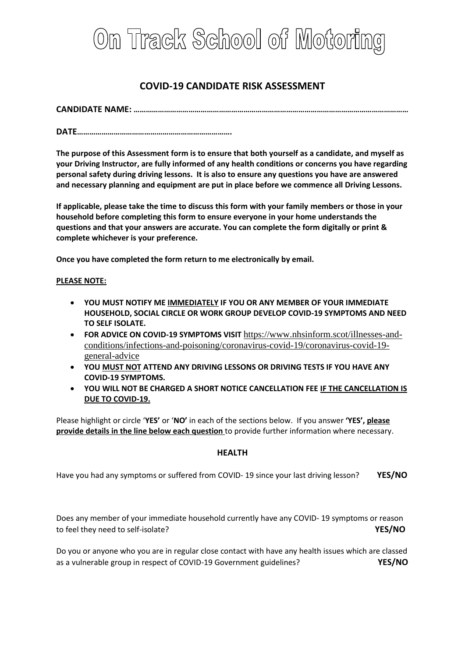

# **COVID-19 CANDIDATE RISK ASSESSMENT**

**CANDIDATE NAME: ………………………………………………………………………………………………………………………**

**DATE………………………………………………………………….**

**The purpose of this Assessment form is to ensure that both yourself as a candidate, and myself as your Driving Instructor, are fully informed of any health conditions or concerns you have regarding personal safety during driving lessons. It is also to ensure any questions you have are answered and necessary planning and equipment are put in place before we commence all Driving Lessons.** 

**If applicable, please take the time to discuss this form with your family members or those in your household before completing this form to ensure everyone in your home understands the questions and that your answers are accurate. You can complete the form digitally or print & complete whichever is your preference.** 

**Once you have completed the form return to me electronically by email.**

#### **PLEASE NOTE:**

- **YOU MUST NOTIFY ME IMMEDIATELY IF YOU OR ANY MEMBER OF YOUR IMMEDIATE HOUSEHOLD, SOCIAL CIRCLE OR WORK GROUP DEVELOP COVID-19 SYMPTOMS AND NEED TO SELF ISOLATE.**
- **FOR ADVICE ON COVID-19 SYMPTOMS VISIT** [https://www.nhsinform.scot/illnesses-and](https://www.nhsinform.scot/illnesses-and-conditions/infections-and-poisoning/coronavirus-covid-19/coronavirus-covid-19-general-advice)[conditions/infections-and-poisoning/coronavirus-covid-19/coronavirus-covid-19](https://www.nhsinform.scot/illnesses-and-conditions/infections-and-poisoning/coronavirus-covid-19/coronavirus-covid-19-general-advice) [general-advice](https://www.nhsinform.scot/illnesses-and-conditions/infections-and-poisoning/coronavirus-covid-19/coronavirus-covid-19-general-advice)
- **YOU MUST NOT ATTEND ANY DRIVING LESSONS OR DRIVING TESTS IF YOU HAVE ANY COVID-19 SYMPTOMS.**
- **YOU WILL NOT BE CHARGED A SHORT NOTICE CANCELLATION FEE IF THE CANCELLATION IS DUE TO COVID-19.**

Please highlight or circle '**YES'** or '**NO'** in each of the sections below. If you answer **'YES', please provide details in the line below each question** to provide further information where necessary.

## **HEALTH**

Have you had any symptoms or suffered from COVID- 19 since your last driving lesson? **YES/NO**

Does any member of your immediate household currently have any COVID- 19 symptoms or reason to feel they need to self-isolate? **YES/NO**

Do you or anyone who you are in regular close contact with have any health issues which are classed as a vulnerable group in respect of COVID-19 Government guidelines? **YES/NO**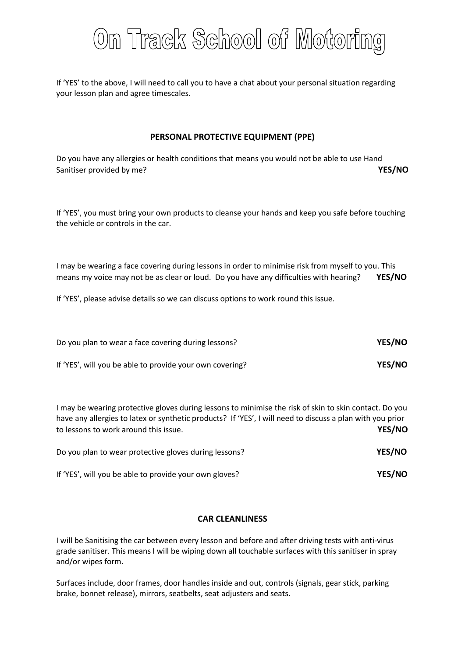

If 'YES' to the above, I will need to call you to have a chat about your personal situation regarding your lesson plan and agree timescales.

### **PERSONAL PROTECTIVE EQUIPMENT (PPE)**

Do you have any allergies or health conditions that means you would not be able to use Hand Sanitiser provided by me? **YES/NO** 

If 'YES', you must bring your own products to cleanse your hands and keep you safe before touching the vehicle or controls in the car.

I may be wearing a face covering during lessons in order to minimise risk from myself to you. This means my voice may not be as clear or loud. Do you have any difficulties with hearing? **YES/NO**

If 'YES', please advise details so we can discuss options to work round this issue.

| Do you plan to wear a face covering during lessons?      | YES/NO |
|----------------------------------------------------------|--------|
| If 'YES', will you be able to provide your own covering? | YES/NO |

I may be wearing protective gloves during lessons to minimise the risk of skin to skin contact. Do you have any allergies to latex or synthetic products? If 'YES', I will need to discuss a plan with you prior to lessons to work around this issue. **YES/NO** 

| Do you plan to wear protective gloves during lessons?  | <b>YES/NO</b> |
|--------------------------------------------------------|---------------|
| If 'YES', will you be able to provide your own gloves? | YES/NO        |

#### **CAR CLEANLINESS**

I will be Sanitising the car between every lesson and before and after driving tests with anti-virus grade sanitiser. This means I will be wiping down all touchable surfaces with this sanitiser in spray and/or wipes form.

Surfaces include, door frames, door handles inside and out, controls (signals, gear stick, parking brake, bonnet release), mirrors, seatbelts, seat adjusters and seats.